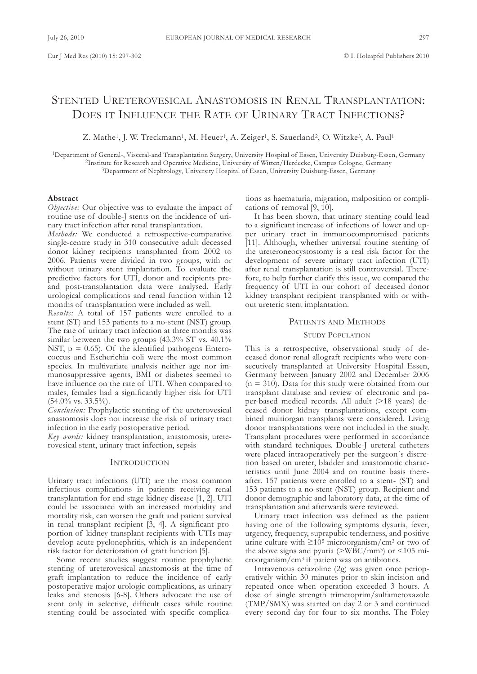# STENTED URETEROVESICAL ANASTOMOSIS IN RENAL TRANSPLANTATION: DOES IT INFLUENCE THE RATE OF URINARY TRACT INFECTIONS?

Z. Mathe<sup>1</sup>, J. W. Treckmann<sup>1</sup>, M. Heuer<sup>1</sup>, A. Zeiger<sup>1</sup>, S. Sauerland<sup>2</sup>, O. Witzke<sup>3</sup>, A. Paul<sup>1</sup>

<sup>1</sup>Department of General-, Visceral-and Transplantation Surgery, University Hospital of Essen, University Duisburg-Essen, Germany 2Institute for Research and operative Medicine, University of Witten/Herdecke, campus cologne, Germany 3Department of Nephrology, University Hospital of Essen, University Duisburg-Essen, Germany

#### **Abstract**

*Objective:* Our objective was to evaluate the impact of routine use of double-J stents on the incidence of urinary tract infection after renal transplantation.

*Methods:* We conducted a retrospective-comparative single-centre study in 310 consecutive adult deceased donor kidney recipients transplanted from 2002 to 2006. Patients were divided in two groups, with or without urinary stent implantation. To evaluate the predictive factors for UTI, donor and recipients preand post-transplantation data were analysed. Early urological complications and renal function within 12 months of transplantation were included as well.

*Results:* a total of 157 patients were enrolled to a stent (ST) and 153 patients to a no-stent (NST) group. The rate of urinary tract infection at three months was similar between the two groups  $(43.3\% \text{ ST vs. } 40.1\%)$ NST,  $p = 0.65$ ). Of the identified pathogens Enterococcus and Escherichia coli were the most common species. In multivariate analysis neither age nor immunosuppressive agents, BMI or diabetes seemed to have influence on the rate of UTI. When compared to males, females had a significantly higher risk for UTI  $(54.0\% \text{ vs. } 33.5\%)$ .

*Conclusion:* Prophylactic stenting of the ureterovesical anastomosis does not increase the risk of urinary tract infection in the early postoperative period.

*Key words:* kidney transplantation, anastomosis, ureterovesical stent, urinary tract infection, sepsis

### **INTRODUCTION**

Urinary tract infections (UTI) are the most common infectious complications in patients receiving renal transplantation for end stage kidney disease [1, 2]. UTI could be associated with an increased morbidity and mortality risk, can worsen the graft and patient survival in renal transplant recipient [3, 4]. a significant proportion of kidney transplant recipients with UTIs may develop acute pyelonephritis, which is an independent risk factor for deterioration of graft function [5].

Some recent studies suggest routine prophylactic stenting of ureterovesical anastomosis at the time of graft implantation to reduce the incidence of early postoperative major urologic complications, as urinary leaks and stenosis [6-8]. Others advocate the use of stent only in selective, difficult cases while routine stenting could be associated with specific complications as haematuria, migration, malposition or complications of removal [9, 10].

It has been shown, that urinary stenting could lead to a significant increase of infections of lower and upper urinary tract in immunocompromised patients [11]. although, whether universal routine stenting of the ureteroneocystostomy is a real risk factor for the development of severe urinary tract infection (UTI) after renal transplantation is still controversial. Therefore, to help further clarify this issue, we compared the frequency of UTI in our cohort of deceased donor kidney transplant recipient transplanted with or without ureteric stent implantation.

### PATIENTS AND METHODS

#### STUDY POPULATION

This is a retrospective, observational study of deceased donor renal allograft recipients who were consecutively transplanted at University Hospital Essen, Germany between January 2002 and December 2006  $(n = 310)$ . Data for this study were obtained from our transplant database and review of electronic and paper-based medical records. all adult (>18 years) deceased donor kidney transplantations, except combined multiorgan transplants were considered. Living donor transplantations were not included in the study. Transplant procedures were performed in accordance with standard techniques. Double-J ureteral catheters were placed intraoperatively per the surgeon´s discretion based on ureter, bladder and anastomotic characteristics until June 2004 and on routine basis thereafter. 157 patients were enrolled to a stent- (ST) and 153 patients to a no-stent (NST) group. Recipient and donor demographic and laboratory data, at the time of transplantation and afterwards were reviewed.

Urinary tract infection was defined as the patient having one of the following symptoms dysuria, fever, urgency, frequency, suprapubic tenderness, and positive urine culture with ≥105 microorganism/cm3 or two of the above signs and pyuria ( $>\!\!\overline{\text{WBC}}/\text{mm}^3$ ) or <105 microorganism/cm<sup>3</sup> if patient was on antibiotics.

Intravenous cefazoline (2g) was given once perioperatively within 30 minutes prior to skin incision and repeated once when operation exceeded 3 hours. A dose of single strength trimetoprim/sulfametoxazole (TMP/SMX) was started on day 2 or 3 and continued every second day for four to six months. The Foley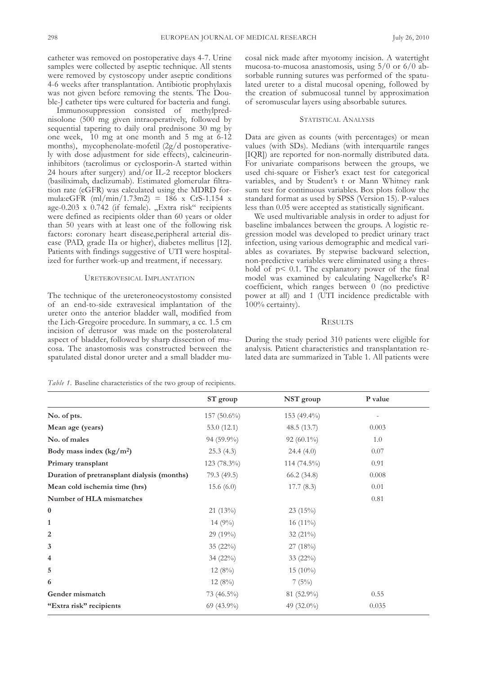catheter was removed on postoperative days 4-7. Urine samples were collected by aseptic technique. All stents were removed by cystoscopy under aseptic conditions 4-6 weeks after transplantation. Antibiotic prophylaxis was not given before removing the stents. The Double-J catheter tips were cultured for bacteria and fungi.

Immunosuppression consisted of methylprednisolone (500 mg given intraoperatively, followed by sequential tapering to daily oral prednisone 30 mg by one week, 10 mg at one month and 5 mg at 6-12 months), mycophenolate-mofetil (2g/d postoperatively with dose adjustment for side effects), calcineurininhibitors (tacrolimus or cyclosporin-A started within 24 hours after surgery) and/or Il-2 receptor blockers (basiliximab, daclizumab). Estimated glomerular filtration rate (eGFR) was calculated using the MDRD formula:eGFR  $(ml/min/1.73m2) = 186$  x CrS-1.154 x age-0.203 x 0.742 (if female). "Extra risk" recipients were defined as recipients older than 60 years or older than 50 years with at least one of the following risk factors: coronary heart disease,peripheral arterial disease (PAD, grade IIa or higher), diabetes mellitus [12]. Patients with findings suggestive of UTI were hospitalized for further work-up and treatment, if necessary.

#### UREtERovESIcal IMPlantatIon

The technique of the ureteroneocystostomy consisted of an end-to-side extravesical implantation of the ureter onto the anterior bladder wall, modified from the lich-Gregoire procedure. In summary, a cc. 1.5 cm incision of detrusor was made on the posterolateral aspect of bladder, followed by sharp dissection of mucosa. the anastomosis was constructed between the spatulated distal donor ureter and a small bladder mucosal nick made after myotomy incision. A watertight mucosa-to-mucosa anastomosis, using 5/0 or 6/0 absorbable running sutures was performed of the spatulated ureter to a distal mucosal opening, followed by the creation of submucosal tunnel by approximation of seromuscular layers using absorbable sutures.

# STATISTICAL ANALYSIS

Data are given as counts (with percentages) or mean values (with SDs). Medians (with interquartile ranges [IQR]) are reported for non-normally distributed data. for univariate comparisons between the groups, we used chi-square or fisher's exact test for categorical variables, and by Student's t or Mann Whitney rank sum test for continuous variables. Box plots follow the standard format as used by SPSS (version 15). P-values less than 0.05 were accepted as statistically significant.

We used multivariable analysis in order to adjust for baseline imbalances between the groups. a logistic regression model was developed to predict urinary tract infection, using various demographic and medical variables as covariates. By stepwise backward selection, non-predictive variables were eliminated using a thres hold of  $p < 0.1$ . The explanatory power of the final model was examined by calculating Nagelkerke's R<sup>2</sup> coefficient, which ranges between 0 (no predictive power at all) and 1 (UTI incidence predictable with 100% certainty).

# **RESULTS**

During the study period 310 patients were eligible for analysis. Patient characteristics and transplantation related data are summarized in Table 1. All patients were

*Table 1.* Baseline characteristics of the two group of recipients.

|                                             | ST group      | NST group     | P value |
|---------------------------------------------|---------------|---------------|---------|
| No. of pts.                                 | 157 (50.6%)   | 153 (49.4%)   |         |
| Mean age (years)                            | 53.0 $(12.1)$ | 48.5(13.7)    | 0.003   |
| No. of males                                | 94 (59.9%)    | $92(60.1\%)$  | 1.0     |
| Body mass index $(kg/m2)$                   | 25.3(4.3)     | 24.4(4.0)     | 0.07    |
| Primary transplant                          | $123(78.3\%)$ | 114 (74.5%)   | 0.91    |
| Duration of pretransplant dialysis (months) | 79.3 (49.5)   | 66.2(34.8)    | 0.008   |
| Mean cold ischemia time (hrs)               | 15.6 $(6.0)$  | 17.7(8.3)     | 0.01    |
| Number of HLA mismatches                    |               |               | 0.81    |
| $\boldsymbol{0}$                            | $21(13\%)$    | 23(15%)       |         |
| 1                                           | $14(9\%)$     | 16 $(11\%)$   |         |
| 2                                           | 29 (19%)      | 32 $(21\%)$   |         |
| 3                                           | $35(22\%)$    | 27(18%)       |         |
| 4                                           | 34 (22%)      | 33 (22%)      |         |
| 5                                           | $12(8\%)$     | 15 $(10\%)$   |         |
| 6                                           | $12(8\%)$     | 7(5%)         |         |
| Gender mismatch                             | 73 (46.5%)    | 81 (52.9%)    | 0.55    |
| "Extra risk" recipients                     | 69 (43.9%)    | 49 $(32.0\%)$ | 0.035   |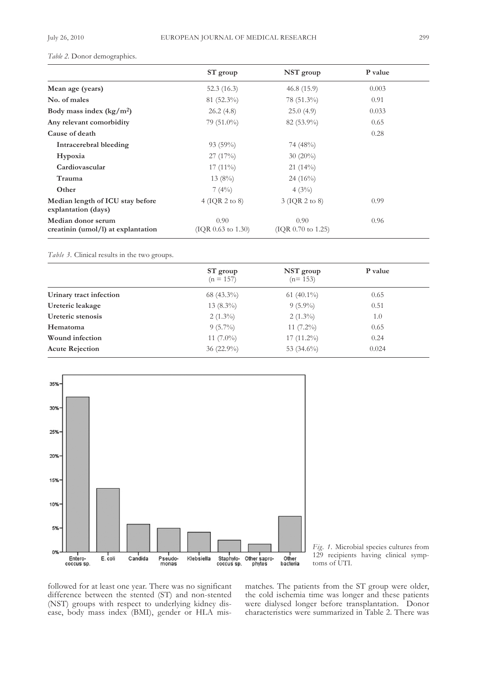# Table 2. Donor demographics.

|                                                          | ST group                    | NST group                            | P value |  |
|----------------------------------------------------------|-----------------------------|--------------------------------------|---------|--|
| Mean age (years)                                         | 52.3(16.3)                  | 46.8(15.9)                           | 0.003   |  |
| No. of males                                             | $81(52.3\%)$                | $78(51.3\%)$                         | 0.91    |  |
| Body mass index $(kg/m2)$                                | 26.2(4.8)                   | 25.0(4.9)                            | 0.033   |  |
| Any relevant comorbidity                                 | $79(51.0\%)$                | 82 (53.9%)                           | 0.65    |  |
| Cause of death                                           |                             |                                      | 0.28    |  |
| Intracerebral bleeding                                   | $93(59\%)$                  | 74 (48%)                             |         |  |
| Hypoxia                                                  | 27(17%)                     | $30(20\%)$                           |         |  |
| Cardiovascular                                           | $17(11\%)$                  | $21(14\%)$                           |         |  |
| Trauma                                                   | $13(8\%)$                   | $24(16\%)$                           |         |  |
| Other                                                    | 7(4%)                       | $4(3\%)$                             |         |  |
| Median length of ICU stay before<br>explantation (days)  | $4$ (IQR 2 to 8)            | 3 (IQR 2 to 8)                       | 0.99    |  |
| Median donor serum<br>creatinin (umol/l) at explantation | 0.90<br>( IQR 0.63 to 1.30) | 0.90<br>0.96<br>$(IQR 0.70$ to 1.25) |         |  |

*Table 3.* clinical results in the two groups.

|                         | ST group<br>$(n = 157)$ | NST group<br>$(n=153)$ | P value |  |
|-------------------------|-------------------------|------------------------|---------|--|
| Urinary tract infection | 68 $(43.3\%)$           | 61 $(40.1\%)$          | 0.65    |  |
| Ureteric leakage        | $13(8.3\%)$             | $9(5.9\%)$             | 0.51    |  |
| Ureteric stenosis       | $2(1.3\%)$              | $2(1.3\%)$             | 1.0     |  |
| Hematoma                | $9(5.7\%)$              | 11 $(7.2\%)$           | 0.65    |  |
| Wound infection         | 11 $(7.0\%)$            | $17(11.2\%)$           | 0.24    |  |
| <b>Acute Rejection</b>  | $36(22.9\%)$            | 53 $(34.6\%)$          | 0.024   |  |





followed for at least one year. There was no significant difference between the stented (ST) and non-stented (NST) groups with respect to underlying kidney disease, body mass index (BMI), gender or HLA mismatches. The patients from the ST group were older, the cold ischemia time was longer and these patients were dialysed longer before transplantation. Donor characteristics were summarized in Table 2. There was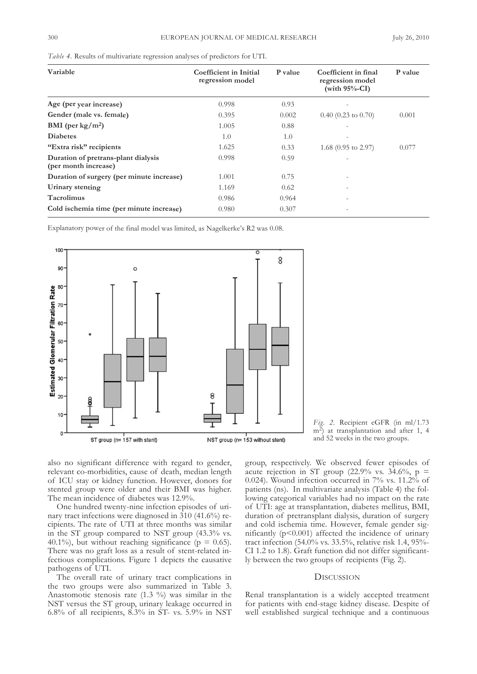| Variable                                                    | Coefficient in Initial<br>regression model | <b>P</b> value | Coefficient in final<br>regression model<br>(with $95%$ -CI) | P value |
|-------------------------------------------------------------|--------------------------------------------|----------------|--------------------------------------------------------------|---------|
| Age (per year increase)                                     | 0.998                                      | 0.93           |                                                              |         |
| Gender (male vs. female)                                    | 0.395                                      | 0.002          | $0.40$ (0.23 to 0.70)                                        | 0.001   |
| BMI (per $\text{kg}/\text{m}^2$ )                           | 1.005                                      | 0.88           |                                                              |         |
| <b>Diabetes</b>                                             | 1.0                                        | 1.0            |                                                              |         |
| "Extra risk" recipients                                     | 1.625                                      | 0.33           | 1.68 $(0.95 \text{ to } 2.97)$                               | 0.077   |
| Duration of pretrans-plant dialysis<br>(per month increase) | 0.998                                      | 0.59           |                                                              |         |
| Duration of surgery (per minute increase)                   | 1.001                                      | 0.75           |                                                              |         |
| Urinary stenting                                            | 1.169                                      | 0.62           |                                                              |         |
| <b>Tacrolimus</b>                                           | 0.986                                      | 0.964          | ٠                                                            |         |
| Cold ischemia time (per minute increase)                    | 0.980                                      | 0.307          |                                                              |         |

*Table 4.* Results of multivariate regression analyses of predictors for UTI.

Explanatory power of the final model was limited, as Nagelkerke's R2 was 0.08.





also no significant difference with regard to gender, relevant co-morbidities, cause of death, median length of IcU stay or kidney function. However, donors for stented group were older and their BMI was higher. The mean incidence of diabetes was 12.9%.

One hundred twenty-nine infection episodes of urinary tract infections were diagnosed in 310 (41.6%) recipients. The rate of UTI at three months was similar in the ST group compared to NST group (43.3% vs. 40.1%), but without reaching significance ( $p = 0.65$ ). There was no graft loss as a result of stent-related infectious complications. figure 1 depicts the causative pathogens of UTI.

The overall rate of urinary tract complications in the two groups were also summarized in Table 3. Anastomotic stenosis rate  $(1.3 \%)$  was similar in the NST versus the ST group, urinary leakage occurred in 6.8% of all recipients,  $8.3\%$  in ST- vs. 5.9% in NST group, respectively. We observed fewer episodes of acute rejection in ST group  $(22.9\% \text{ vs. } 34.6\%, \text{ p } =$ 0.024). Wound infection occurred in 7% vs. 11.2% of patients (ns). In multivariate analysis (Table 4) the following categorical variables had no impact on the rate of UtI: age at transplantation, diabetes mellitus, BMI, duration of pretransplant dialysis, duration of surgery and cold ischemia time. However, female gender significantly (p<0.001) affected the incidence of urinary tract infection (54.0% vs. 33.5%, relative risk 1.4, 95% cI 1.2 to 1.8). Graft function did not differ significantly between the two groups of recipients (fig. 2).

# **DISCUSSION**

Renal transplantation is a widely accepted treatment for patients with end-stage kidney disease. Despite of well established surgical technique and a continuous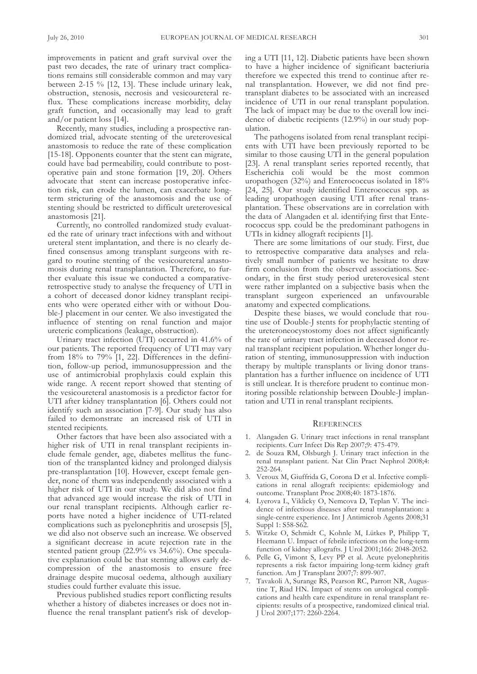improvements in patient and graft survival over the past two decades, the rate of urinary tract complications remains still considerable common and may vary between 2-15  $%$  [12, 13]. These include urinary leak, obstruction, stenosis, necrosis and vesicoureteral reflux. These complications increase morbidity, delay graft function, and occasionally may lead to graft and/or patient loss [14].

Recently, many studies, including a prospective randomized trial, advocate stenting of the ureterovesical anastomosis to reduce the rate of these complication [15-18]. Opponents counter that the stent can migrate, could have bad permeability, could contribute to postoperative pain and stone formation [19, 20]. others advocate that stent can increase postoperative infection risk, can erode the lumen, can exacerbate longterm stricturing of the anastomosis and the use of stenting should be restricted to difficult ureterovesical anastomosis [21].

currently, no controlled randomized study evaluated the rate of urinary tract infections with and without ureteral stent implantation, and there is no clearly defined consensus among transplant surgeons with regard to routine stenting of the vesicoureteral anastomosis during renal transplantation. Therefore, to further evaluate this issue we conducted a comparativeretrospective study to analyse the frequency of UTI in a cohort of deceased donor kidney transplant recipients who were operated either with or without Double-J placement in our center. We also investigated the influence of stenting on renal function and major ureteric complications (leakage, obstruction).

Urinary tract infection (UTI) occurred in 41.6% of our patients. The reported frequency of UTI may vary from  $18\%$  to  $79\%$  [1, 22]. Differences in the definition, follow-up period, immunosuppression and the use of antimicrobial prophylaxis could explain this wide range. A recent report showed that stenting of the vesicoureteral anastomosis is a predictor factor for UTI after kidney transplantation [6]. Others could not identify such an association [7-9]. Our study has also failed to demonstrate an increased risk of UTI in stented recipients.

Other factors that have been also associated with a higher risk of UTI in renal transplant recipients include female gender, age, diabetes mellitus the function of the transplanted kidney and prolonged dialysis pre-transplantation [10]. However, except female gender, none of them was independently associated with a higher risk of UTI in our study. We did also not find that advanced age would increase the risk of UTI in our renal transplant recipients. although earlier reports have noted a higher incidence of UTI-related complications such as pyelonephritis and urosepsis [5], we did also not observe such an increase. We observed a significant decrease in acute rejection rate in the stented patient group (22.9% vs 34.6%). One speculative explanation could be that stenting allows early decompression of the anastomosis to ensure free drainage despite mucosal oedema, although auxiliary studies could further evaluate this issue.

Previous published studies report conflicting results whether a history of diabetes increases or does not influence the renal transplant patient's risk of developing a UTI [11, 12]. Diabetic patients have been shown to have a higher incidence of significant bacteriuria therefore we expected this trend to continue after renal transplantation. However, we did not find pretransplant diabetes to be associated with an increased incidence of UTI in our renal transplant population. The lack of impact may be due to the overall low incidence of diabetic recipients (12.9%) in our study population.

The pathogens isolated from renal transplant recipients with UTI have been previously reported to be similar to those causing UTI in the general population [23]. A renal transplant series reported recently, that Escherichia coli would be the most common uropathogen (32%) and Enterococcus isolated in 18% [24, 25]. Our study identified Enterococcus spp. as leading uropathogen causing UTI after renal transplantation. These observations are in correlation with the data of Alangaden et al. identifying first that Enterococcus spp. could be the predominant pathogens in UTIs in kidney allograft recipients [1].

There are some limitations of our study. First, due to retrospective comparative data analyses and relatively small number of patients we hesitate to draw firm conclusion from the observed associations. Secondary, in the first study period ureterovesical stent were rather implanted on a subjective basis when the transplant surgeon experienced an unfavourable anatomy and expected complications.

Despite these biases, we would conclude that routine use of Double-J stents for prophylactic stenting of the ureteroneocystostomy does not affect significantly the rate of urinary tract infection in deceased donor renal transplant recipient population. Whether longer duration of stenting, immunosuppression with induction therapy by multiple transplants or living donor transplantation has a further influence on incidence of UTI is still unclear. It is therefore prudent to continue monitoring possible relationship between Double-J implantation and UTI in renal transplant recipients.

#### **REFERENCES**

- 1. alangaden G. Urinary tract infections in renal transplant recipients. Curr Infect Dis Rep 2007;9: 475-479.
- 2. de Souza RM, olsburgh J. Urinary tract infection in the renal transplant patient. Nat Clin Pract Nephrol 2008;4: 252-264.
- 3. Veroux M, Giuffrida G, Corona D et al. Infective complications in renal allograft recipients: epidemiology and outcome. Transplant Proc 2008;40: 1873-1876.
- 4. Lyerova L, Viklicky O, Nemcova D, Teplan V. The incidence of infectious diseases after renal transplantation: a single-centre experience. Int J Antimicrob Agents 2008;31 Suppl 1: S58-S62.
- 5. Witzke O, Schmidt C, Kohnle M, Lütkes P, Philipp T, Heemann U. Impact of febrile infections on the long-term function of kidney allografts. J Urol 2001;166: 2048-2052.
- 6. Pelle G, vimont S, levy PP et al. acute pyelonephritis represents a risk factor impairing long-term kidney graft function. Am J Transplant 2007;7: 899-907.
- 7. Tavakoli A, Surange RS, Pearson RC, Parrott NR, Augustine T, Riad HN. Impact of stents on urological complications and health care expenditure in renal transplant recipients: results of a prospective, randomized clinical trial. J Urol 2007;177: 2260-2264.